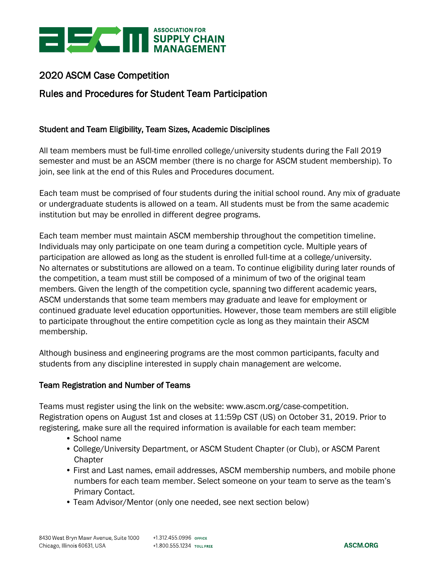

# 2020 ASCM Case Competition

# Rules and Procedures for Student Team Participation

## Student and Team Eligibility, Team Sizes, Academic Disciplines

All team members must be full-time enrolled college/university students during the Fall 2019 semester and must be an ASCM member (there is no charge for ASCM student membership). To join, see link at the end of this Rules and Procedures document.

Each team must be comprised of four students during the initial school round. Any mix of graduate or undergraduate students is allowed on a team. All students must be from the same academic institution but may be enrolled in different degree programs.

Each team member must maintain ASCM membership throughout the competition timeline. Individuals may only participate on one team during a competition cycle. Multiple years of participation are allowed as long as the student is enrolled full-time at a college/university. No alternates or substitutions are allowed on a team. To continue eligibility during later rounds of the competition, a team must still be composed of a minimum of two of the original team members. Given the length of the competition cycle, spanning two different academic years, ASCM understands that some team members may graduate and leave for employment or continued graduate level education opportunities. However, those team members are still eligible to participate throughout the entire competition cycle as long as they maintain their ASCM membership.

Although business and engineering programs are the most common participants, faculty and students from any discipline interested in supply chain management are welcome.

#### Team Registration and Number of Teams

Teams must register using the link on the website: www.ascm.org/case-competition. Registration opens on August 1st and closes at 11:59p CST (US) on October 31, 2019. Prior to registering, make sure all the required information is available for each team member:

- School name
- College/University Department, or ASCM Student Chapter (or Club), or ASCM Parent **Chapter**
- First and Last names, email addresses, ASCM membership numbers, and mobile phone numbers for each team member. Select someone on your team to serve as the team's Primary Contact.
- Team Advisor/Mentor (only one needed, see next section below)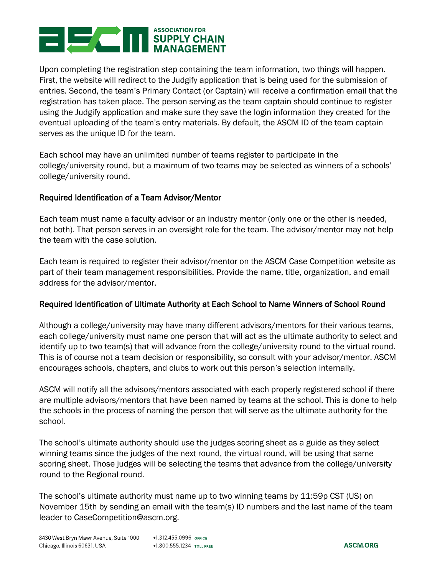

Upon completing the registration step containing the team information, two things will happen. First, the website will redirect to the Judgify application that is being used for the submission of entries. Second, the team's Primary Contact (or Captain) will receive a confirmation email that the registration has taken place. The person serving as the team captain should continue to register using the Judgify application and make sure they save the login information they created for the eventual uploading of the team's entry materials. By default, the ASCM ID of the team captain serves as the unique ID for the team.

Each school may have an unlimited number of teams register to participate in the college/university round, but a maximum of two teams may be selected as winners of a schools' college/university round.

## Required Identification of a Team Advisor/Mentor

Each team must name a faculty advisor or an industry mentor (only one or the other is needed, not both). That person serves in an oversight role for the team. The advisor/mentor may not help the team with the case solution.

Each team is required to register their advisor/mentor on the ASCM Case Competition website as part of their team management responsibilities. Provide the name, title, organization, and email address for the advisor/mentor.

#### Required Identification of Ultimate Authority at Each School to Name Winners of School Round

Although a college/university may have many different advisors/mentors for their various teams, each college/university must name one person that will act as the ultimate authority to select and identify up to two team(s) that will advance from the college/university round to the virtual round. This is of course not a team decision or responsibility, so consult with your advisor/mentor. ASCM encourages schools, chapters, and clubs to work out this person's selection internally.

ASCM will notify all the advisors/mentors associated with each properly registered school if there are multiple advisors/mentors that have been named by teams at the school. This is done to help the schools in the process of naming the person that will serve as the ultimate authority for the school.

The school's ultimate authority should use the judges scoring sheet as a guide as they select winning teams since the judges of the next round, the virtual round, will be using that same scoring sheet. Those judges will be selecting the teams that advance from the college/university round to the Regional round.

The school's ultimate authority must name up to two winning teams by 11:59p CST (US) on November 15th by sending an email with the team(s) ID numbers and the last name of the team leader to CaseCompetition@ascm.org.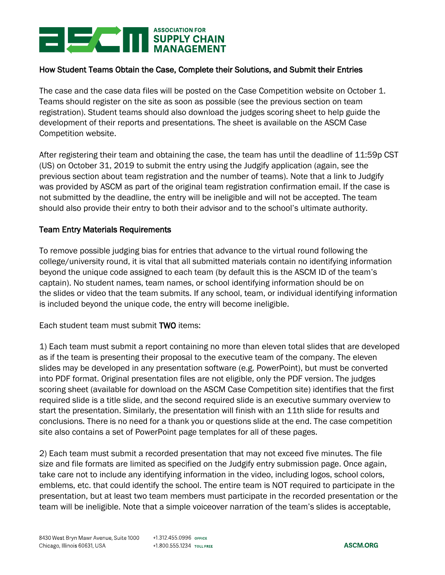

## How Student Teams Obtain the Case, Complete their Solutions, and Submit their Entries

The case and the case data files will be posted on the Case Competition website on October 1. Teams should register on the site as soon as possible (see the previous section on team registration). Student teams should also download the judges scoring sheet to help guide the development of their reports and presentations. The sheet is available on the ASCM Case Competition website.

After registering their team and obtaining the case, the team has until the deadline of 11:59p CST (US) on October 31, 2019 to submit the entry using the Judgify application (again, see the previous section about team registration and the number of teams). Note that a link to Judgify was provided by ASCM as part of the original team registration confirmation email. If the case is not submitted by the deadline, the entry will be ineligible and will not be accepted. The team should also provide their entry to both their advisor and to the school's ultimate authority.

### Team Entry Materials Requirements

To remove possible judging bias for entries that advance to the virtual round following the college/university round, it is vital that all submitted materials contain no identifying information beyond the unique code assigned to each team (by default this is the ASCM ID of the team's captain). No student names, team names, or school identifying information should be on the slides or video that the team submits. If any school, team, or individual identifying information is included beyond the unique code, the entry will become ineligible.

Each student team must submit TWO items:

1) Each team must submit a report containing no more than eleven total slides that are developed as if the team is presenting their proposal to the executive team of the company. The eleven slides may be developed in any presentation software (e.g. PowerPoint), but must be converted into PDF format. Original presentation files are not eligible, only the PDF version. The judges scoring sheet (available for download on the ASCM Case Competition site) identifies that the first required slide is a title slide, and the second required slide is an executive summary overview to start the presentation. Similarly, the presentation will finish with an 11th slide for results and conclusions. There is no need for a thank you or questions slide at the end. The case competition site also contains a set of PowerPoint page templates for all of these pages.

2) Each team must submit a recorded presentation that may not exceed five minutes. The file size and file formats are limited as specified on the Judgify entry submission page. Once again, take care not to include any identifying information in the video, including logos, school colors, emblems, etc. that could identify the school. The entire team is NOT required to participate in the presentation, but at least two team members must participate in the recorded presentation or the team will be ineligible. Note that a simple voiceover narration of the team's slides is acceptable,